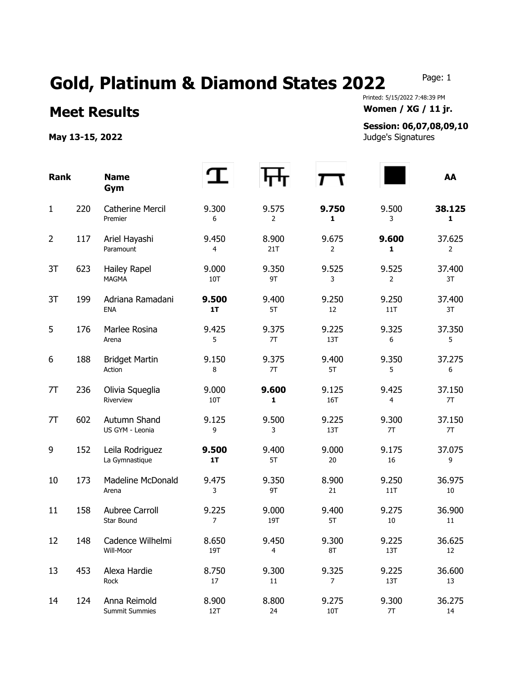## Gold, Platinum & Diamond States 2022 Page: 1

## Printed: 5/15/2022 7:48:39 PM **Meet Results Women / XG / 11 jr.**

## **Session: 06,07,08,09,10**

**May 13-15, 2022** Judge's Signatures

| <b>Rank</b>    |     | <b>Name</b><br>Gym                    |                         |                         |                         |              | AA           |
|----------------|-----|---------------------------------------|-------------------------|-------------------------|-------------------------|--------------|--------------|
| $\mathbf{1}$   | 220 | <b>Catherine Mercil</b><br>Premier    | 9.300<br>6              | 9.575<br>$\overline{2}$ | 9.750<br>1              | 9.500<br>3   | 38.125<br>1  |
| $\overline{2}$ | 117 | Ariel Hayashi<br>Paramount            | 9.450<br>4              | 8.900<br>21T            | 9.675<br>2              | 9.600<br>1   | 37.625<br>2  |
| 3T             | 623 | Hailey Rapel<br><b>MAGMA</b>          | 9.000<br>10T            | 9.350<br>9T             | 9.525<br>3              | 9.525<br>2   | 37.400<br>3T |
| 3T             | 199 | Adriana Ramadani<br><b>ENA</b>        | 9.500<br>1T             | 9.400<br>5T             | 9.250<br>12             | 9.250<br>11T | 37.400<br>3T |
| 5              | 176 | Marlee Rosina<br>Arena                | 9.425<br>5              | 9.375<br>7T             | 9.225<br>13T            | 9.325<br>6   | 37.350<br>5  |
| 6              | 188 | <b>Bridget Martin</b><br>Action       | 9.150<br>8              | 9.375<br>7T             | 9.400<br>5T             | 9.350<br>5   | 37.275<br>6  |
| 7T             | 236 | Olivia Squeglia<br>Riverview          | 9.000<br>10T            | 9.600<br>1              | 9.125<br>16T            | 9.425<br>4   | 37.150<br>7T |
| 7T             | 602 | Autumn Shand<br>US GYM - Leonia       | 9.125<br>9              | 9.500<br>3              | 9.225<br>13T            | 9.300<br>7T  | 37.150<br>7T |
| 9              | 152 | Leila Rodriguez<br>La Gymnastique     | 9.500<br>1T             | 9.400<br>5T             | 9.000<br>20             | 9.175<br>16  | 37.075<br>9  |
| 10             | 173 | <b>Madeline McDonald</b><br>Arena     | 9.475<br>3              | 9.350<br>9T             | 8.900<br>21             | 9.250<br>11T | 36.975<br>10 |
| 11             | 158 | Aubree Carroll<br>Star Bound          | 9.225<br>$\overline{7}$ | 9.000<br>19T            | 9.400<br>5T             | 9.275<br>10  | 36.900<br>11 |
| 12             | 148 | Cadence Wilhelmi<br>Will-Moor         | 8.650<br>19T            | 9.450<br>4              | 9.300<br>8T             | 9.225<br>13T | 36.625<br>12 |
| 13             | 453 | Alexa Hardie<br>Rock                  | 8.750<br>17             | 9.300<br>11             | 9.325<br>$\overline{7}$ | 9.225<br>13T | 36.600<br>13 |
| 14             | 124 | Anna Reimold<br><b>Summit Summies</b> | 8.900<br>12T            | 8.800<br>24             | 9.275<br>10T            | 9.300<br>7T  | 36.275<br>14 |